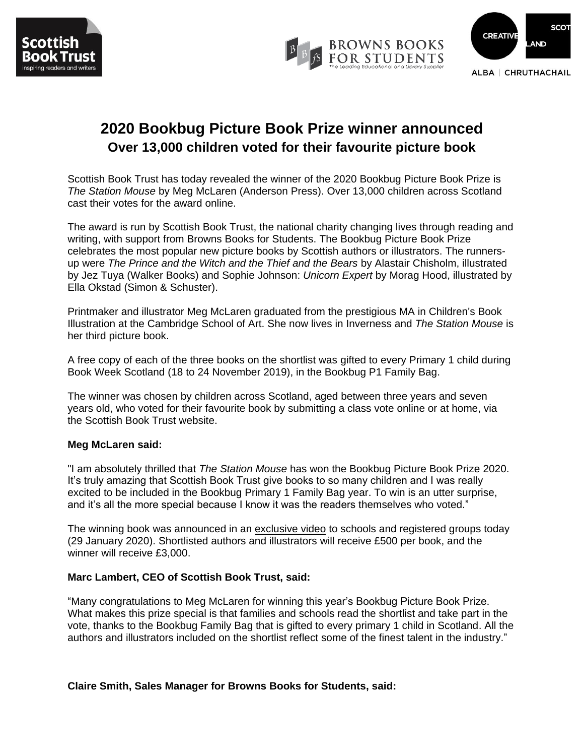





# **2020 Bookbug Picture Book Prize winner announced Over 13,000 children voted for their favourite picture book**

Scottish Book Trust has today revealed the winner of the 2020 Bookbug Picture Book Prize is *The Station Mouse* by Meg McLaren (Anderson Press). Over 13,000 children across Scotland cast their votes for the award online.

The award is run by Scottish Book Trust, the national charity changing lives through reading and writing, with support from Browns Books for Students. The Bookbug Picture Book Prize celebrates the most popular new picture books by Scottish authors or illustrators. The runnersup were *The Prince and the Witch and the Thief and the Bears* by Alastair Chisholm, illustrated by Jez Tuya (Walker Books) and Sophie Johnson: *Unicorn Expert* by Morag Hood, illustrated by Ella Okstad (Simon & Schuster).

Printmaker and illustrator Meg McLaren graduated from the prestigious MA in Children's Book Illustration at the Cambridge School of Art. She now lives in Inverness and *The Station Mouse* is her third picture book.

A free copy of each of the three books on the shortlist was gifted to every Primary 1 child during Book Week Scotland (18 to 24 November 2019), in the Bookbug P1 Family Bag.

The winner was chosen by children across Scotland, aged between three years and seven years old, who voted for their favourite book by submitting a class vote online or at home, via the [Scottish Book Trust](http://www.scottishbooktrust.com/learning/bpbp) website.

## **Meg McLaren said:**

"I am absolutely thrilled that *The Station Mouse* has won the Bookbug Picture Book Prize 2020. It's truly amazing that Scottish Book Trust give books to so many children and I was really excited to be included in the Bookbug Primary 1 Family Bag year. To win is an utter surprise, and it's all the more special because I know it was the readers themselves who voted."

The winning book was announced in an [exclusive video](https://www.scottishbooktrust.com/reading-and-stories/bookbug-picture-book-prize) to schools and registered groups today (29 January 2020). Shortlisted authors and illustrators will receive £500 per book, and the winner will receive £3,000.

## **Marc Lambert, CEO of Scottish Book Trust, said:**

"Many congratulations to Meg McLaren for winning this year's Bookbug Picture Book Prize. What makes this prize special is that families and schools read the shortlist and take part in the vote, thanks to the Bookbug Family Bag that is gifted to every primary 1 child in Scotland. All the authors and illustrators included on the shortlist reflect some of the finest talent in the industry."

**Claire Smith, Sales Manager for Browns Books for Students, said:**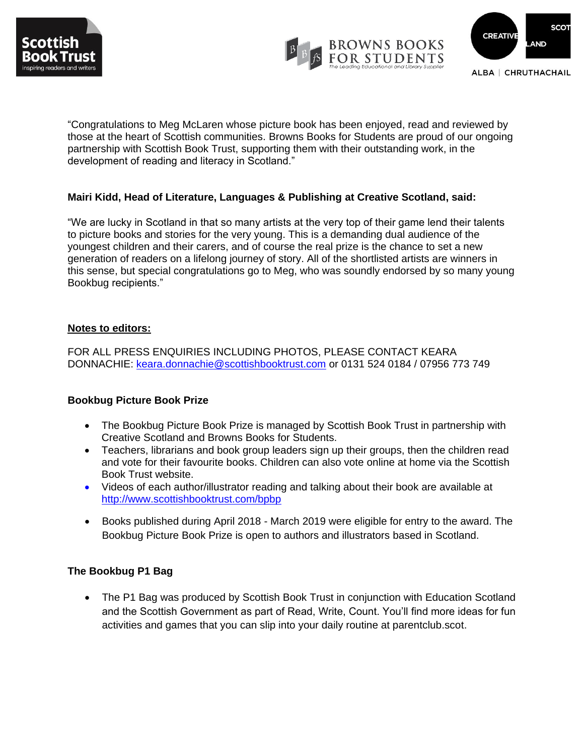





"Congratulations to Meg McLaren whose picture book has been enjoyed, read and reviewed by those at the heart of Scottish communities. Browns Books for Students are proud of our ongoing partnership with Scottish Book Trust, supporting them with their outstanding work, in the development of reading and literacy in Scotland."

## **Mairi Kidd, Head of Literature, Languages & Publishing at Creative Scotland, said:**

"We are lucky in Scotland in that so many artists at the very top of their game lend their talents to picture books and stories for the very young. This is a demanding dual audience of the youngest children and their carers, and of course the real prize is the chance to set a new generation of readers on a lifelong journey of story. All of the shortlisted artists are winners in this sense, but special congratulations go to Meg, who was soundly endorsed by so many young Bookbug recipients."

## **Notes to editors:**

FOR ALL PRESS ENQUIRIES INCLUDING PHOTOS, PLEASE CONTACT KEARA DONNACHIE: [keara.donnachie@scottishbooktrust.com](mailto:keara.donnachie@scottishbooktrust.com) or 0131 524 0184 / 07956 773 749

## **Bookbug Picture Book Prize**

- The Bookbug Picture Book Prize is managed by Scottish Book Trust in partnership with Creative Scotland and Browns Books for Students.
- Teachers, librarians and book group leaders sign up their groups, then the children read and vote for their favourite books. Children can also vote online at home via the Scottish Book Trust website.
- Videos of each author/illustrator reading and talking about their book are available at <http://www.scottishbooktrust.com/bpbp>
- Books published during April 2018 March 2019 were eligible for entry to the award. The Bookbug Picture Book Prize is open to authors and illustrators based in Scotland.

## **The Bookbug P1 Bag**

• The P1 Bag was produced by Scottish Book Trust in conjunction with Education Scotland and the Scottish Government as part of Read, Write, Count. You'll find more ideas for fun activities and games that you can slip into your daily routine at parentclub.scot.